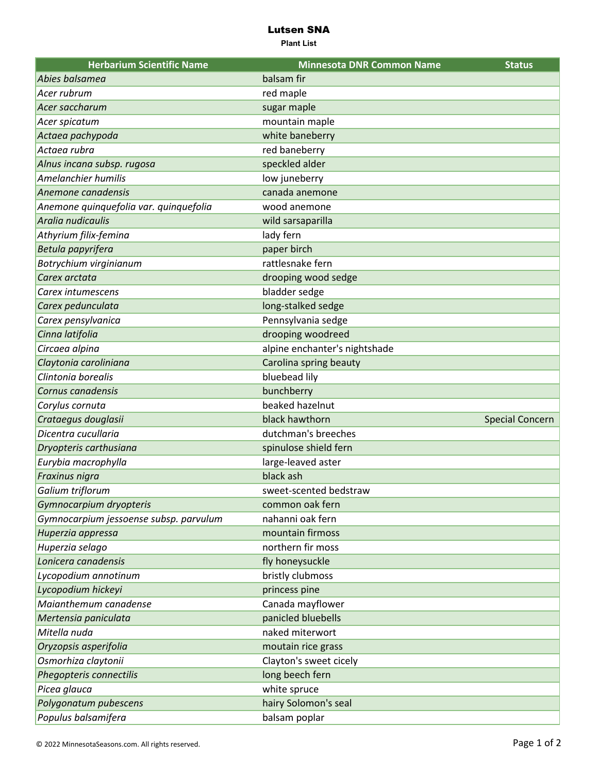## Lutsen SNA

**Plant List**

| <b>Herbarium Scientific Name</b>       | <b>Minnesota DNR Common Name</b> | <b>Status</b>          |
|----------------------------------------|----------------------------------|------------------------|
| Abies balsamea                         | balsam fir                       |                        |
| Acer rubrum                            | red maple                        |                        |
| Acer saccharum                         | sugar maple                      |                        |
| Acer spicatum                          | mountain maple                   |                        |
| Actaea pachypoda                       | white baneberry                  |                        |
| Actaea rubra                           | red baneberry                    |                        |
| Alnus incana subsp. rugosa             | speckled alder                   |                        |
| Amelanchier humilis                    | low juneberry                    |                        |
| Anemone canadensis                     | canada anemone                   |                        |
| Anemone quinquefolia var. quinquefolia | wood anemone                     |                        |
| Aralia nudicaulis                      | wild sarsaparilla                |                        |
| Athyrium filix-femina                  | lady fern                        |                        |
| Betula papyrifera                      | paper birch                      |                        |
| Botrychium virginianum                 | rattlesnake fern                 |                        |
| Carex arctata                          | drooping wood sedge              |                        |
| Carex intumescens                      | bladder sedge                    |                        |
| Carex pedunculata                      | long-stalked sedge               |                        |
| Carex pensylvanica                     | Pennsylvania sedge               |                        |
| Cinna latifolia                        | drooping woodreed                |                        |
| Circaea alpina                         | alpine enchanter's nightshade    |                        |
| Claytonia caroliniana                  | Carolina spring beauty           |                        |
| Clintonia borealis                     | bluebead lily                    |                        |
| Cornus canadensis                      | bunchberry                       |                        |
| Corylus cornuta                        | beaked hazelnut                  |                        |
| Crataegus douglasii                    | black hawthorn                   | <b>Special Concern</b> |
| Dicentra cucullaria                    | dutchman's breeches              |                        |
| Dryopteris carthusiana                 | spinulose shield fern            |                        |
| Eurybia macrophylla                    | large-leaved aster               |                        |
| Fraxinus nigra                         | black ash                        |                        |
| Galium triflorum                       | sweet-scented bedstraw           |                        |
| Gymnocarpium dryopteris                | common oak fern                  |                        |
| Gymnocarpium jessoense subsp. parvulum | nahanni oak fern                 |                        |
| Huperzia appressa                      | mountain firmoss                 |                        |
| Huperzia selago                        | northern fir moss                |                        |
| Lonicera canadensis                    | fly honeysuckle                  |                        |
| Lycopodium annotinum                   | bristly clubmoss                 |                        |
| Lycopodium hickeyi                     | princess pine                    |                        |
| Maianthemum canadense                  | Canada mayflower                 |                        |
| Mertensia paniculata                   | panicled bluebells               |                        |
| Mitella nuda                           | naked miterwort                  |                        |
| Oryzopsis asperifolia                  | moutain rice grass               |                        |
| Osmorhiza claytonii                    | Clayton's sweet cicely           |                        |
| Phegopteris connectilis                | long beech fern                  |                        |
| Picea glauca                           | white spruce                     |                        |
| Polygonatum pubescens                  | hairy Solomon's seal             |                        |
| Populus balsamifera                    | balsam poplar                    |                        |